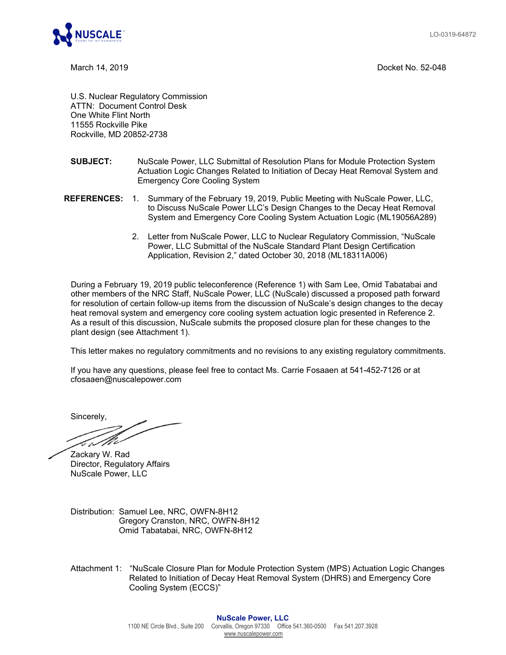LO-0319-64872



March 14, 2019 Docket No. 52-048

U.S. Nuclear Regulatory Commission ATTN: Document Control Desk One White Flint North 11555 Rockville Pike Rockville, MD 20852-2738

- **SUBJECT:** NuScale Power, LLC Submittal of Resolution Plans for Module Protection System Actuation Logic Changes Related to Initiation of Decay Heat Removal System and Emergency Core Cooling System
- **REFERENCES:** 1. Summary of the February 19, 2019, Public Meeting with NuScale Power, LLC, to Discuss NuScale Power LLC's Design Changes to the Decay Heat Removal System and Emergency Core Cooling System Actuation Logic (ML19056A289)
	- 2. Letter from NuScale Power, LLC to Nuclear Regulatory Commission, "NuScale Power, LLC Submittal of the NuScale Standard Plant Design Certification Application, Revision 2," dated October 30, 2018 (ML18311A006)

During a February 19, 2019 public teleconference (Reference 1) with Sam Lee, Omid Tabatabai and other members of the NRC Staff, NuScale Power, LLC (NuScale) discussed a proposed path forward for resolution of certain follow-up items from the discussion of NuScale's design changes to the decay heat removal system and emergency core cooling system actuation logic presented in Reference 2. As a result of this discussion, NuScale submits the proposed closure plan for these changes to the plant design (see Attachment 1).

This letter makes no regulatory commitments and no revisions to any existing regulatory commitments.

If you have any questions, please feel free to contact Ms. Carrie Fosaaen at 541-452-7126 or at cfosaaen@nuscalepower.com

Sincerely,

N

Zackary W. Rad Director, Regulatory Affairs NuScale Power, LLC

Distribution: Samuel Lee, NRC, OWFN-8H12 Gregory Cranston, NRC, OWFN-8H12 Omid Tabatabai, NRC, OWFN-8H12

Attachment 1: "NuScale Closure Plan for Module Protection System (MPS) Actuation Logic Changes Related to Initiation of Decay Heat Removal System (DHRS) and Emergency Core Cooling System (ECCS)"